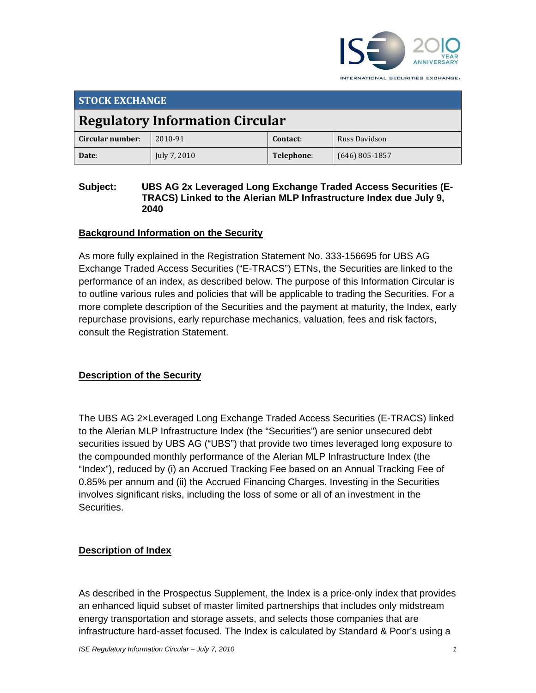

**STOCK EXCHANGE Regulatory Information Circular Circular number**: 2010‐91 **Contact**: Russ Davidson **Date**: July 7, 2010 **Telephone**: (646) 805‐1857

#### **Subject: UBS AG 2x Leveraged Long Exchange Traded Access Securities (E-TRACS) Linked to the Alerian MLP Infrastructure Index due July 9, 2040**

#### **Background Information on the Security**

As more fully explained in the Registration Statement No. 333-156695 for UBS AG Exchange Traded Access Securities ("E-TRACS") ETNs, the Securities are linked to the performance of an index, as described below. The purpose of this Information Circular is to outline various rules and policies that will be applicable to trading the Securities. For a more complete description of the Securities and the payment at maturity, the Index, early repurchase provisions, early repurchase mechanics, valuation, fees and risk factors, consult the Registration Statement.

#### **Description of the Security**

The UBS AG 2×Leveraged Long Exchange Traded Access Securities (E-TRACS) linked to the Alerian MLP Infrastructure Index (the "Securities") are senior unsecured debt securities issued by UBS AG ("UBS") that provide two times leveraged long exposure to the compounded monthly performance of the Alerian MLP Infrastructure Index (the "Index"), reduced by (i) an Accrued Tracking Fee based on an Annual Tracking Fee of 0.85% per annum and (ii) the Accrued Financing Charges. Investing in the Securities involves significant risks, including the loss of some or all of an investment in the Securities.

#### **Description of Index**

As described in the Prospectus Supplement, the Index is a price-only index that provides an enhanced liquid subset of master limited partnerships that includes only midstream energy transportation and storage assets, and selects those companies that are infrastructure hard-asset focused. The Index is calculated by Standard & Poor's using a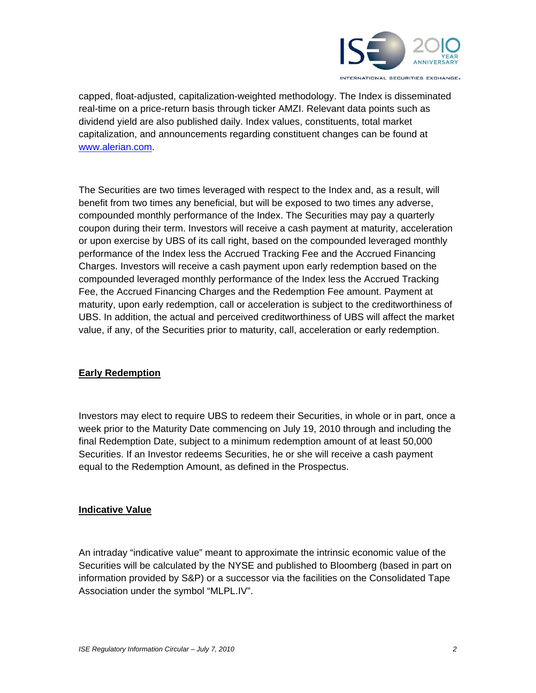

capped, float-adjusted, capitalization-weighted methodology. The Index is disseminated real-time on a price-return basis through ticker AMZI. Relevant data points such as dividend yield are also published daily. Index values, constituents, total market capitalization, and announcements regarding constituent changes can be found at www.alerian.com.

The Securities are two times leveraged with respect to the Index and, as a result, will benefit from two times any beneficial, but will be exposed to two times any adverse, compounded monthly performance of the Index. The Securities may pay a quarterly coupon during their term. Investors will receive a cash payment at maturity, acceleration or upon exercise by UBS of its call right, based on the compounded leveraged monthly performance of the Index less the Accrued Tracking Fee and the Accrued Financing Charges. Investors will receive a cash payment upon early redemption based on the compounded leveraged monthly performance of the Index less the Accrued Tracking Fee, the Accrued Financing Charges and the Redemption Fee amount. Payment at maturity, upon early redemption, call or acceleration is subject to the creditworthiness of UBS. In addition, the actual and perceived creditworthiness of UBS will affect the market value, if any, of the Securities prior to maturity, call, acceleration or early redemption.

# **Early Redemption**

Investors may elect to require UBS to redeem their Securities, in whole or in part, once a week prior to the Maturity Date commencing on July 19, 2010 through and including the final Redemption Date, subject to a minimum redemption amount of at least 50,000 Securities. If an Investor redeems Securities, he or she will receive a cash payment equal to the Redemption Amount, as defined in the Prospectus.

#### **Indicative Value**

An intraday "indicative value" meant to approximate the intrinsic economic value of the Securities will be calculated by the NYSE and published to Bloomberg (based in part on information provided by S&P) or a successor via the facilities on the Consolidated Tape Association under the symbol "MLPL.IV".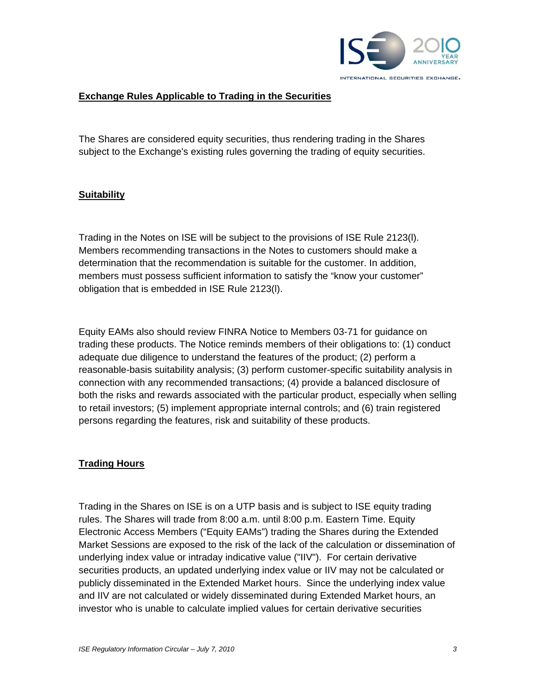

## **Exchange Rules Applicable to Trading in the Securities**

The Shares are considered equity securities, thus rendering trading in the Shares subject to the Exchange's existing rules governing the trading of equity securities.

#### **Suitability**

Trading in the Notes on ISE will be subject to the provisions of ISE Rule 2123(l). Members recommending transactions in the Notes to customers should make a determination that the recommendation is suitable for the customer. In addition, members must possess sufficient information to satisfy the "know your customer" obligation that is embedded in ISE Rule 2123(l).

Equity EAMs also should review FINRA Notice to Members 03-71 for guidance on trading these products. The Notice reminds members of their obligations to: (1) conduct adequate due diligence to understand the features of the product; (2) perform a reasonable-basis suitability analysis; (3) perform customer-specific suitability analysis in connection with any recommended transactions; (4) provide a balanced disclosure of both the risks and rewards associated with the particular product, especially when selling to retail investors; (5) implement appropriate internal controls; and (6) train registered persons regarding the features, risk and suitability of these products.

#### **Trading Hours**

Trading in the Shares on ISE is on a UTP basis and is subject to ISE equity trading rules. The Shares will trade from 8:00 a.m. until 8:00 p.m. Eastern Time. Equity Electronic Access Members ("Equity EAMs") trading the Shares during the Extended Market Sessions are exposed to the risk of the lack of the calculation or dissemination of underlying index value or intraday indicative value ("IIV"). For certain derivative securities products, an updated underlying index value or IIV may not be calculated or publicly disseminated in the Extended Market hours. Since the underlying index value and IIV are not calculated or widely disseminated during Extended Market hours, an investor who is unable to calculate implied values for certain derivative securities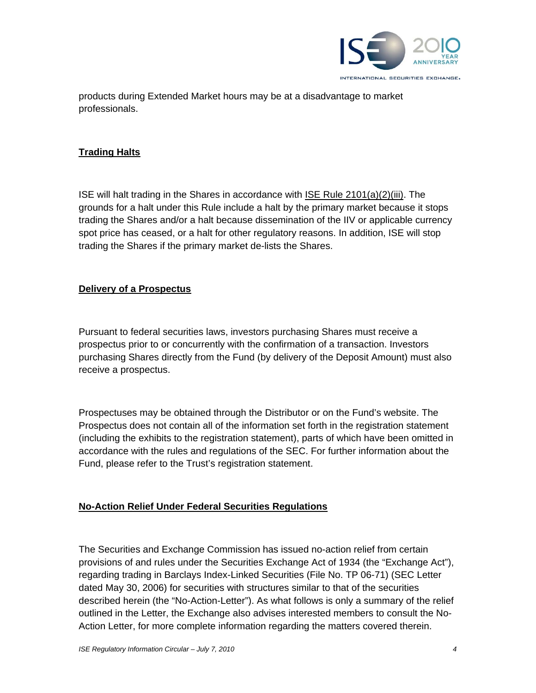

products during Extended Market hours may be at a disadvantage to market professionals.

### **Trading Halts**

ISE will halt trading in the Shares in accordance with ISE Rule 2101(a)(2)(iii). The grounds for a halt under this Rule include a halt by the primary market because it stops trading the Shares and/or a halt because dissemination of the IIV or applicable currency spot price has ceased, or a halt for other regulatory reasons. In addition, ISE will stop trading the Shares if the primary market de-lists the Shares.

## **Delivery of a Prospectus**

Pursuant to federal securities laws, investors purchasing Shares must receive a prospectus prior to or concurrently with the confirmation of a transaction. Investors purchasing Shares directly from the Fund (by delivery of the Deposit Amount) must also receive a prospectus.

Prospectuses may be obtained through the Distributor or on the Fund's website. The Prospectus does not contain all of the information set forth in the registration statement (including the exhibits to the registration statement), parts of which have been omitted in accordance with the rules and regulations of the SEC. For further information about the Fund, please refer to the Trust's registration statement.

#### **No-Action Relief Under Federal Securities Regulations**

The Securities and Exchange Commission has issued no-action relief from certain provisions of and rules under the Securities Exchange Act of 1934 (the "Exchange Act"), regarding trading in Barclays Index-Linked Securities (File No. TP 06-71) (SEC Letter dated May 30, 2006) for securities with structures similar to that of the securities described herein (the "No-Action-Letter"). As what follows is only a summary of the relief outlined in the Letter, the Exchange also advises interested members to consult the No-Action Letter, for more complete information regarding the matters covered therein.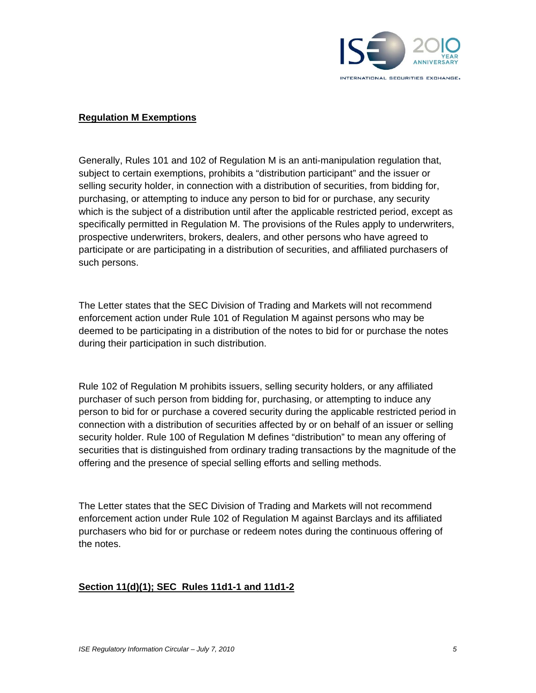

#### **Regulation M Exemptions**

Generally, Rules 101 and 102 of Regulation M is an anti-manipulation regulation that, subject to certain exemptions, prohibits a "distribution participant" and the issuer or selling security holder, in connection with a distribution of securities, from bidding for, purchasing, or attempting to induce any person to bid for or purchase, any security which is the subject of a distribution until after the applicable restricted period, except as specifically permitted in Regulation M. The provisions of the Rules apply to underwriters, prospective underwriters, brokers, dealers, and other persons who have agreed to participate or are participating in a distribution of securities, and affiliated purchasers of such persons.

The Letter states that the SEC Division of Trading and Markets will not recommend enforcement action under Rule 101 of Regulation M against persons who may be deemed to be participating in a distribution of the notes to bid for or purchase the notes during their participation in such distribution.

Rule 102 of Regulation M prohibits issuers, selling security holders, or any affiliated purchaser of such person from bidding for, purchasing, or attempting to induce any person to bid for or purchase a covered security during the applicable restricted period in connection with a distribution of securities affected by or on behalf of an issuer or selling security holder. Rule 100 of Regulation M defines "distribution" to mean any offering of securities that is distinguished from ordinary trading transactions by the magnitude of the offering and the presence of special selling efforts and selling methods.

The Letter states that the SEC Division of Trading and Markets will not recommend enforcement action under Rule 102 of Regulation M against Barclays and its affiliated purchasers who bid for or purchase or redeem notes during the continuous offering of the notes.

#### **Section 11(d)(1); SEC Rules 11d1-1 and 11d1-2**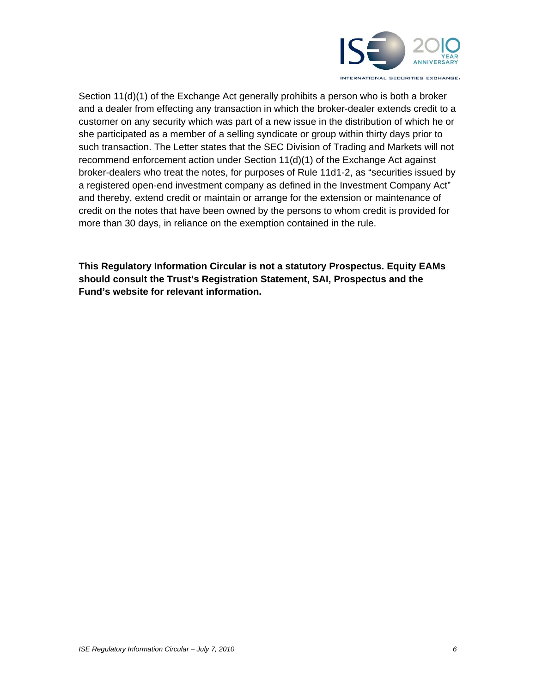

Section 11(d)(1) of the Exchange Act generally prohibits a person who is both a broker and a dealer from effecting any transaction in which the broker-dealer extends credit to a customer on any security which was part of a new issue in the distribution of which he or she participated as a member of a selling syndicate or group within thirty days prior to such transaction. The Letter states that the SEC Division of Trading and Markets will not recommend enforcement action under Section 11(d)(1) of the Exchange Act against broker-dealers who treat the notes, for purposes of Rule 11d1-2, as "securities issued by a registered open-end investment company as defined in the Investment Company Act" and thereby, extend credit or maintain or arrange for the extension or maintenance of credit on the notes that have been owned by the persons to whom credit is provided for more than 30 days, in reliance on the exemption contained in the rule.

**This Regulatory Information Circular is not a statutory Prospectus. Equity EAMs should consult the Trust's Registration Statement, SAI, Prospectus and the Fund's website for relevant information.**